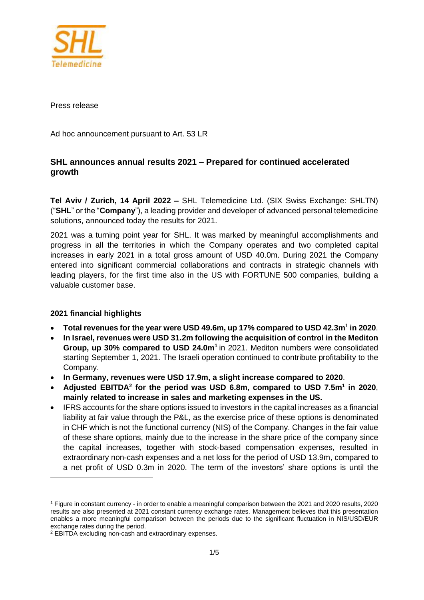

Press release

Ad hoc announcement pursuant to Art. 53 LR

# **SHL announces annual results 2021 – Prepared for continued accelerated growth**

**Tel Aviv / Zurich, 14 April 2022 –** SHL Telemedicine Ltd. (SIX Swiss Exchange: SHLTN) ("**SHL**" or the "**Company**"), a leading provider and developer of advanced personal telemedicine solutions, announced today the results for 2021.

2021 was a turning point year for SHL. It was marked by meaningful accomplishments and progress in all the territories in which the Company operates and two completed capital increases in early 2021 in a total gross amount of USD 40.0m. During 2021 the Company entered into significant commercial collaborations and contracts in strategic channels with leading players, for the first time also in the US with FORTUNE 500 companies, building a valuable customer base.

# **2021 financial highlights**

- **Total revenues for the year were USD 49.6m, up 17% compared to USD 42.3m**<sup>1</sup> **in 2020**.
- **In Israel, revenues were USD 31.2m following the acquisition of control in the Mediton Group, up 30% compared to USD 24.0m<sup>1</sup>** in 2021. Mediton numbers were consolidated starting September 1, 2021. The Israeli operation continued to contribute profitability to the Company.
- **In Germany, revenues were USD 17.9m, a slight increase compared to 2020**.
- **Adjusted EBITDA<sup>2</sup> for the period was USD 6.8m, compared to USD 7.5m<sup>1</sup> in 2020**, **mainly related to increase in sales and marketing expenses in the US.**
- IFRS accounts for the share options issued to investors in the capital increases as a financial liability at fair value through the P&L, as the exercise price of these options is denominated in CHF which is not the functional currency (NIS) of the Company. Changes in the fair value of these share options, mainly due to the increase in the share price of the company since the capital increases, together with stock-based compensation expenses, resulted in extraordinary non-cash expenses and a net loss for the period of USD 13.9m, compared to a net profit of USD 0.3m in 2020. The term of the investors' share options is until the

<sup>1</sup> Figure in constant currency - in order to enable a meaningful comparison between the 2021 and 2020 results, 2020 results are also presented at 2021 constant currency exchange rates. Management believes that this presentation enables a more meaningful comparison between the periods due to the significant fluctuation in NIS/USD/EUR exchange rates during the period.

<sup>2</sup> EBITDA excluding non-cash and extraordinary expenses.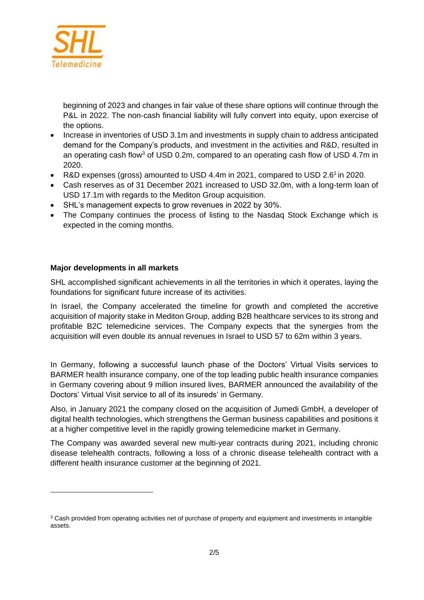

beginning of 2023 and changes in fair value of these share options will continue through the P&L in 2022. The non-cash financial liability will fully convert into equity, upon exercise of the options.

- Increase in inventories of USD 3.1m and investments in supply chain to address anticipated demand for the Company's products, and investment in the activities and R&D, resulted in an operating cash flow<sup>3</sup> of USD 0.2m, compared to an operating cash flow of USD 4.7m in 2020.
- R&D expenses (gross) amounted to USD 4.4m in 2021, compared to USD 2.6<sup>1</sup> in 2020.
- Cash reserves as of 31 December 2021 increased to USD 32.0m, with a long-term loan of USD 17.1m with regards to the Mediton Group acquisition.
- SHL's management expects to grow revenues in 2022 by 30%.
- The Company continues the process of listing to the Nasdaq Stock Exchange which is expected in the coming months.

## **Major developments in all markets**

SHL accomplished significant achievements in all the territories in which it operates, laying the foundations for significant future increase of its activities.

In Israel, the Company accelerated the timeline for growth and completed the accretive acquisition of majority stake in Mediton Group, adding B2B healthcare services to its strong and profitable B2C telemedicine services. The Company expects that the synergies from the acquisition will even double its annual revenues in Israel to USD 57 to 62m within 3 years.

In Germany, following a successful launch phase of the Doctors' Virtual Visits services to BARMER health insurance company, one of the top leading public health insurance companies in Germany covering about 9 million insured lives, BARMER announced the availability of the Doctors' Virtual Visit service to all of its insureds' in Germany.

Also, in January 2021 the company closed on the acquisition of Jumedi GmbH, a developer of digital health technologies, which strengthens the German business capabilities and positions it at a higher competitive level in the rapidly growing telemedicine market in Germany.

The Company was awarded several new multi-year contracts during 2021, including chronic disease telehealth contracts, following a loss of a chronic disease telehealth contract with a different health insurance customer at the beginning of 2021.

<sup>&</sup>lt;sup>3</sup> Cash provided from operating activities net of purchase of property and equipment and investments in intangible assets.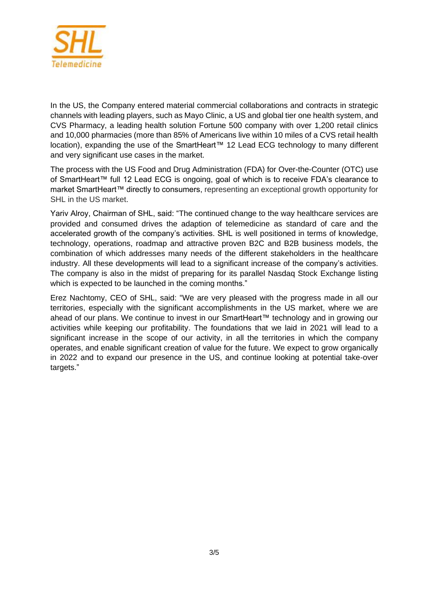

In the US, the Company entered material commercial collaborations and contracts in strategic channels with leading players, such as Mayo Clinic, a US and global tier one health system, and CVS Pharmacy, a leading health solution Fortune 500 company with over 1,200 retail clinics and 10,000 pharmacies (more than 85% of Americans live within 10 miles of a CVS retail health location), expanding the use of the SmartHeart™ 12 Lead ECG technology to many different and very significant use cases in the market.

The process with the US Food and Drug Administration (FDA) for Over-the-Counter (OTC) use of SmartHeart™ full 12 Lead ECG is ongoing, goal of which is to receive FDA's clearance to market SmartHeart™ directly to consumers, representing an exceptional growth opportunity for SHL in the US market.

Yariv Alroy, Chairman of SHL, said: "The continued change to the way healthcare services are provided and consumed drives the adaption of telemedicine as standard of care and the accelerated growth of the company's activities. SHL is well positioned in terms of knowledge, technology, operations, roadmap and attractive proven B2C and B2B business models, the combination of which addresses many needs of the different stakeholders in the healthcare industry. All these developments will lead to a significant increase of the company's activities. The company is also in the midst of preparing for its parallel Nasdaq Stock Exchange listing which is expected to be launched in the coming months."

Erez Nachtomy, CEO of SHL, said: "We are very pleased with the progress made in all our territories, especially with the significant accomplishments in the US market, where we are ahead of our plans. We continue to invest in our SmartHeart™ technology and in growing our activities while keeping our profitability. The foundations that we laid in 2021 will lead to a significant increase in the scope of our activity, in all the territories in which the company operates, and enable significant creation of value for the future. We expect to grow organically in 2022 and to expand our presence in the US, and continue looking at potential take-over targets."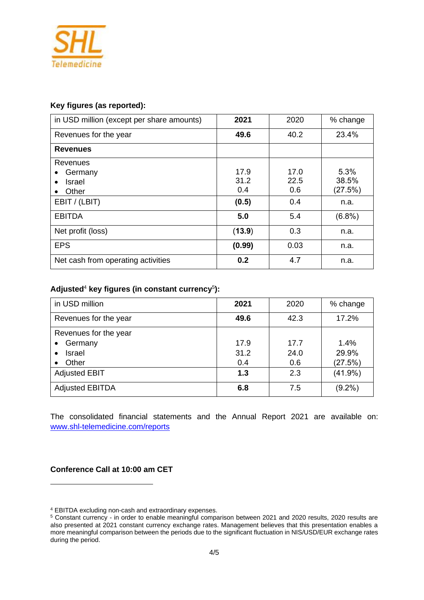

## **Key figures (as reported):**

| in USD million (except per share amounts) | 2021   | 2020 | % change  |
|-------------------------------------------|--------|------|-----------|
| Revenues for the year                     | 49.6   | 40.2 | 23.4%     |
| <b>Revenues</b>                           |        |      |           |
| Revenues                                  |        |      |           |
| Germany                                   | 17.9   | 17.0 | 5.3%      |
| <b>Israel</b>                             | 31.2   | 22.5 | 38.5%     |
| Other                                     | 0.4    | 0.6  | (27.5%)   |
| EBIT / (LBIT)                             | (0.5)  | 0.4  | n.a.      |
| <b>EBITDA</b>                             | 5.0    | 5.4  | $(6.8\%)$ |
| Net profit (loss)                         | (13.9) | 0.3  | n.a.      |
| <b>EPS</b>                                | (0.99) | 0.03 | n.a.      |
| Net cash from operating activities        | 0.2    | 4.7  | n.a.      |

## Adjusted<sup>4</sup> key figures (in constant currency<sup>5</sup>):

| in USD million         | 2021 | 2020 | % change   |
|------------------------|------|------|------------|
| Revenues for the year  | 49.6 | 42.3 | 17.2%      |
| Revenues for the year  |      |      |            |
| Germany<br>$\bullet$   | 17.9 | 17.7 | 1.4%       |
| Israel<br>$\bullet$    | 31.2 | 24.0 | 29.9%      |
| Other<br>٠             | 0.4  | 0.6  | (27.5%)    |
| <b>Adjusted EBIT</b>   | 1.3  | 2.3  | $(41.9\%)$ |
| <b>Adjusted EBITDA</b> | 6.8  | 7.5  | $(9.2\%)$  |

The consolidated financial statements and the Annual Report 2021 are available on: [www.shl-telemedicine.com/reports](http://www.shl-telemedicine.com/reports)

#### **Conference Call at 10:00 am CET**

<sup>4</sup> EBITDA excluding non-cash and extraordinary expenses.

<sup>5</sup> Constant currency - in order to enable meaningful comparison between 2021 and 2020 results, 2020 results are also presented at 2021 constant currency exchange rates. Management believes that this presentation enables a more meaningful comparison between the periods due to the significant fluctuation in NIS/USD/EUR exchange rates during the period.